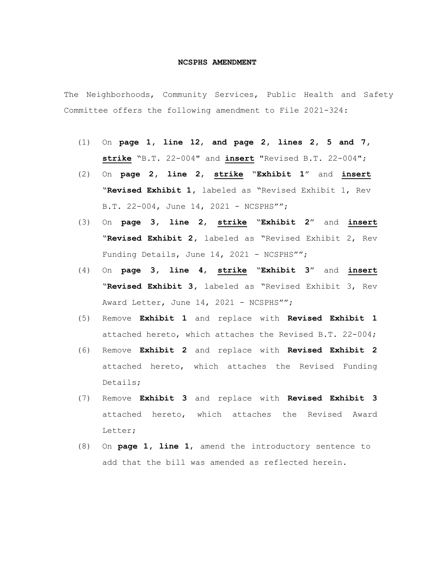## **NCSPHS AMENDMENT**

The Neighborhoods, Community Services, Public Health and Safety Committee offers the following amendment to File 2021-324:

- (1) On **page 1, line 12**, **and page 2, lines 2, 5 and 7, strike** "B.T. 22-004" and **insert** "Revised B.T. 22-004";
- (2) On **page 2, line 2**, **strike** "**Exhibit 1**" and **insert** "**Revised Exhibit 1,** labeled as "Revised Exhibit 1, Rev B.T. 22-004, June 14, 2021 - NCSPHS"";
- (3) On **page 3, line 2**, **strike** "**Exhibit 2**" and **insert** "**Revised Exhibit 2,** labeled as "Revised Exhibit 2, Rev Funding Details, June 14, 2021 - NCSPHS"";
- (4) On **page 3, line 4**, **strike** "**Exhibit 3**" and **insert** "**Revised Exhibit 3,** labeled as "Revised Exhibit 3, Rev Award Letter, June 14, 2021 - NCSPHS"";
- (5) Remove **Exhibit 1** and replace with **Revised Exhibit 1** attached hereto, which attaches the Revised B.T. 22-004;
- (6) Remove **Exhibit 2** and replace with **Revised Exhibit 2** attached hereto, which attaches the Revised Funding Details;
- (7) Remove **Exhibit 3** and replace with **Revised Exhibit 3** attached hereto, which attaches the Revised Award Letter;
- (8) On **page 1, line 1**, amend the introductory sentence to add that the bill was amended as reflected herein.